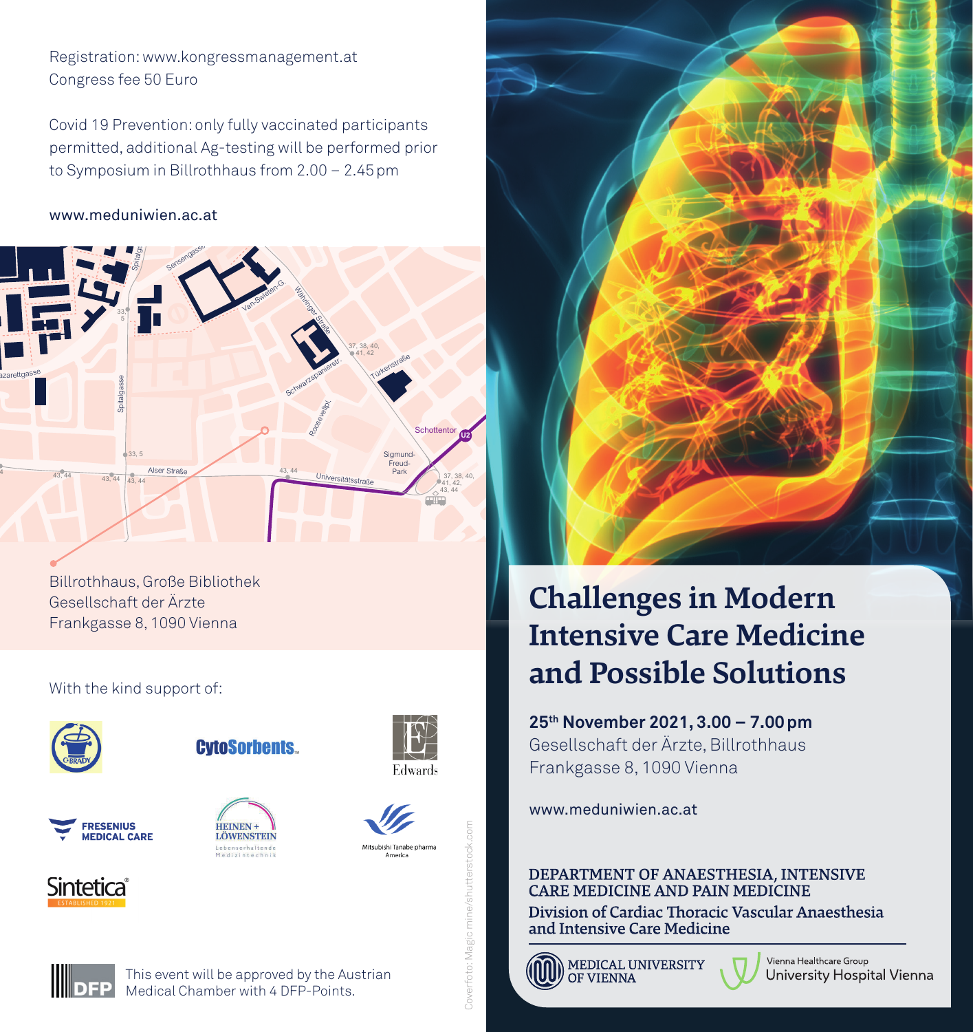42 40, 41 Registration: www.kongressmanagement.at Congress fee 50 Euro

permitted, additional Ag-testing will be performed prior to Symposium in Billrothhaus from 2.00 - 2.45 pm Covid 19 Prevention: only fully vaccinated participants spital<br>Spitaldition<br>Strage Music<br>Straßen<br>Straßen

#### www.meduniwien.ac.at



Billrothhaus, Große Bibliothek Gesellschaft der Ärzte Frankgasse 8, 1090 Vienna

### With the kind support of:



**CytoSorbents.** 







Edwards

Sintetica







# **Challenges in Modern Intensive Care Medicine and Possible Solutions**

**25th November 2021, 3.00 – 7.00pm** Gesellschaft der Ärzte, Billrothhaus Frankgasse 8, 1090 Vienna

www.meduniwien.ac.at

DEPARTMENT OF ANAESTHESIA, INTENSIVE<br>CARE MEDICINE AND PAIN MEDICINE

Division of Cardiac Thoracic Vascular Anaesthesia and Intensive Care Medicine



MEDICAL UNIVERSITY

Vienna Healthcare Group University Hospital Vienna



This event will be approved by the Austrian Medical Chamber with 4 DFP-Points.

Coverfoto: Magic mine/shutterstock.com